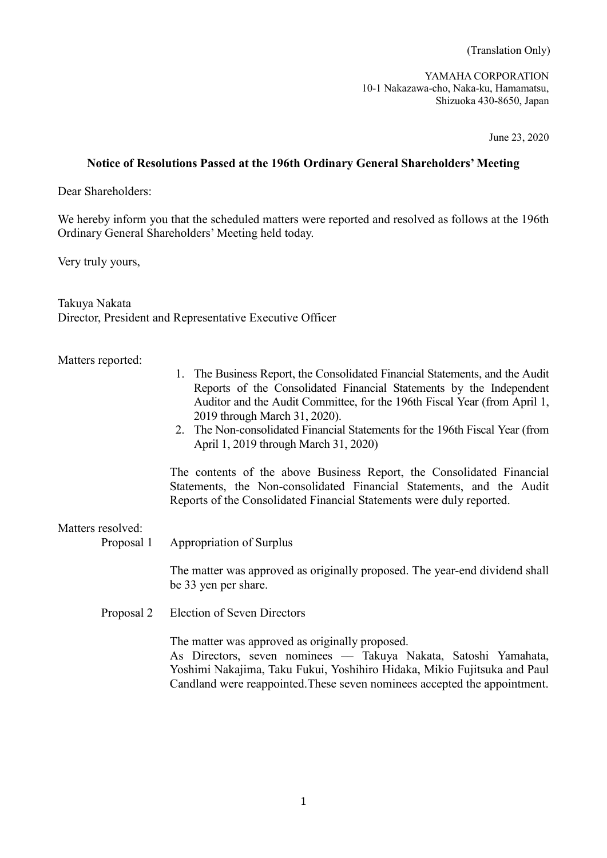(Translation Only)

YAMAHA CORPORATION 10-1 Nakazawa-cho, Naka-ku, Hamamatsu, Shizuoka 430-8650, Japan

June 23, 2020

## **Notice of Resolutions Passed at the 196th Ordinary General Shareholders' Meeting**

Dear Shareholders:

We hereby inform you that the scheduled matters were reported and resolved as follows at the 196th Ordinary General Shareholders' Meeting held today.

Very truly yours,

Takuya Nakata Director, President and Representative Executive Officer

## Matters reported:

- 1. The Business Report, the Consolidated Financial Statements, and the Audit Reports of the Consolidated Financial Statements by the Independent Auditor and the Audit Committee, for the 196th Fiscal Year (from April 1, 2019 through March 31, 2020).
- 2. The Non-consolidated Financial Statements for the 196th Fiscal Year (from April 1, 2019 through March 31, 2020)

The contents of the above Business Report, the Consolidated Financial Statements, the Non-consolidated Financial Statements, and the Audit Reports of the Consolidated Financial Statements were duly reported.

## Matters resolved:

Proposal 1 Appropriation of Surplus

The matter was approved as originally proposed. The year-end dividend shall be 33 yen per share.

Proposal 2 Election of Seven Directors

The matter was approved as originally proposed. As Directors, seven nominees –– Takuya Nakata, Satoshi Yamahata, Yoshimi Nakajima, Taku Fukui, Yoshihiro Hidaka, Mikio Fujitsuka and Paul Candland were reappointed.These seven nominees accepted the appointment.